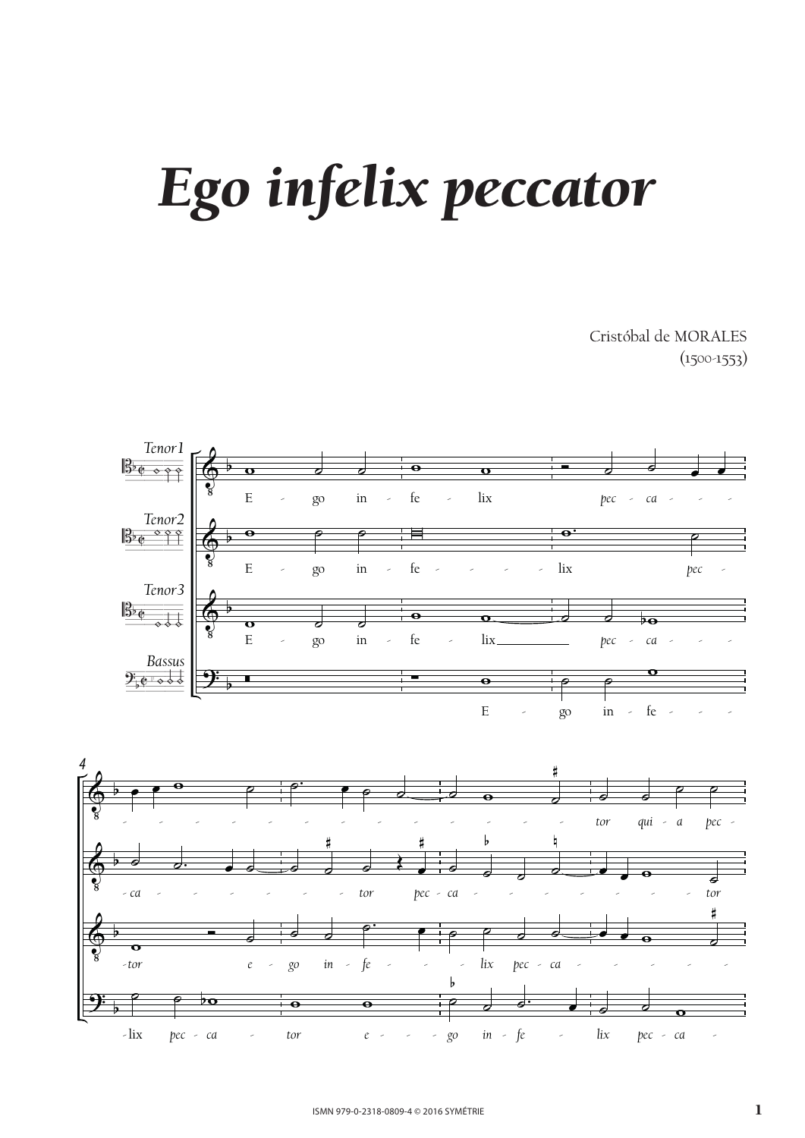## *Ego infelix peccator*  $\delta$

Cristóbal de MORALES  $(1500 - 1553)$ Ego infelix peccator



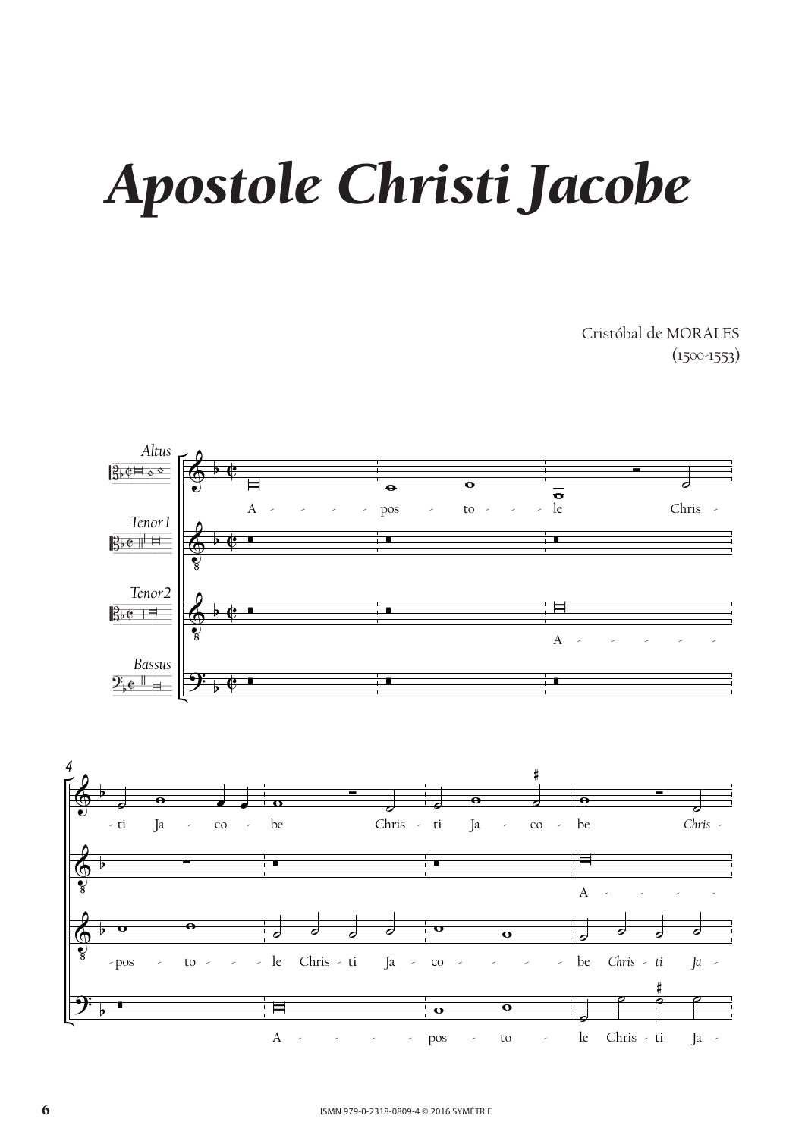## m isti jutop *Apostole Christi Jacobe*

Apostole Christian Christian Christian Christian Christian Christian Christian Christian Christian Christian C<br>1988 - Johann Christian Christian Christian Christian Christian Christian Christian Christian Christian Christ<br> Cristóbal de MORALES  $(1500-1553)$